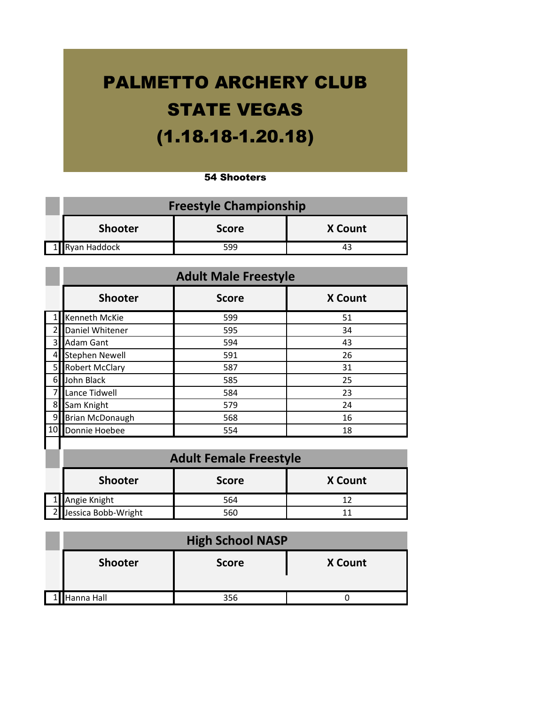## PALMETTO ARCHERY CLUB STATE VEGAS (1.18.18-1.20.18)

## 54 Shooters

| <b>Freestyle Championship</b>                    |     |  |  |
|--------------------------------------------------|-----|--|--|
| <b>Shooter</b><br><b>X</b> Count<br><b>Score</b> |     |  |  |
| 1 Ryan Haddock                                   | 599 |  |  |

|    | <b>Adult Male Freestyle</b> |              |                |
|----|-----------------------------|--------------|----------------|
|    | <b>Shooter</b>              | <b>Score</b> | <b>X Count</b> |
|    | Kenneth McKie               | 599          | 51             |
| 2  | Daniel Whitener             | 595          | 34             |
| 3  | <b>Adam Gant</b>            | 594          | 43             |
| 4  | <b>Stephen Newell</b>       | 591          | 26             |
| 5  | <b>Robert McClary</b>       | 587          | 31             |
| 6  | John Black                  | 585          | 25             |
|    | Lance Tidwell               | 584          | 23             |
| 8  | Sam Knight                  | 579          | 24             |
| 9  | <b>Brian McDonaugh</b>      | 568          | 16             |
| 10 | Donnie Hoebee               | 554          | 18             |

| <b>Adult Female Freestyle</b> |              |                |
|-------------------------------|--------------|----------------|
| <b>Shooter</b>                | <b>Score</b> | <b>X</b> Count |
| 1 Angie Knight                | 564          |                |
| 2 Jessica Bobb-Wright         | 560          |                |

| <b>High School NASP</b> |              |                |
|-------------------------|--------------|----------------|
| <b>Shooter</b>          | <b>Score</b> | <b>X Count</b> |
| 1 Hanna Hall            | 356          |                |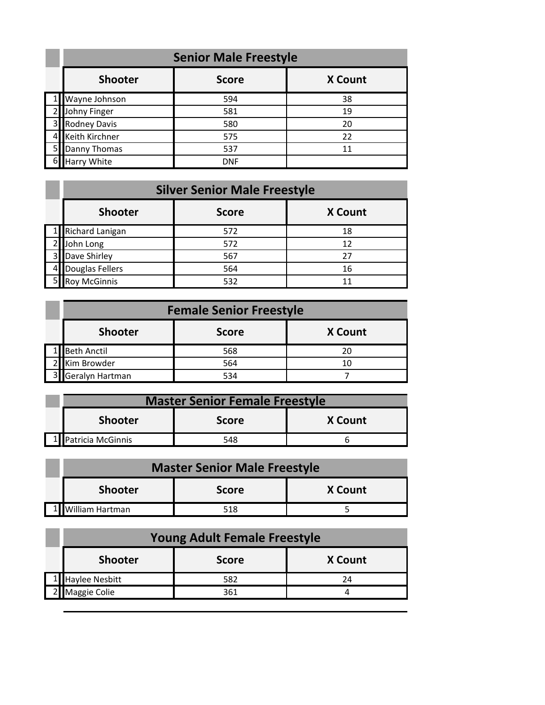|                | <b>Senior Male Freestyle</b> |              |                |
|----------------|------------------------------|--------------|----------------|
|                | <b>Shooter</b>               | <b>Score</b> | <b>X Count</b> |
|                | Wayne Johnson                | 594          | 38             |
|                | Johny Finger                 | 581          | 19             |
|                | 3 Rodney Davis               | 580          | 20             |
|                | Keith Kirchner               | 575          | 22             |
| 5 <sub>l</sub> | Danny Thomas                 | 537          | 11             |
| $6 \mid$       | <b>Harry White</b>           | <b>DNF</b>   |                |

## **Silver Senior Male Freestyle**

| <b>Shooter</b>      | <b>Score</b> | <b>X</b> Count |
|---------------------|--------------|----------------|
| Richard Lanigan     | 572          | 18             |
| John Long           | 572          | 12             |
| Dave Shirley        | 567          | 27             |
| Douglas Fellers     | 564          | 16             |
| <b>Roy McGinnis</b> | 532          |                |

| <b>Female Senior Freestyle</b> |              |                |
|--------------------------------|--------------|----------------|
| <b>Shooter</b>                 | <b>Score</b> | <b>X</b> Count |
| Beth Anctil                    | 568          | 20             |
| Kim Browder                    | 564          | 10             |
| Geralyn Hartman                | 534          |                |

|                                                  | <b>Master Senior Female Freestyle</b> |     |  |
|--------------------------------------------------|---------------------------------------|-----|--|
| <b>Shooter</b><br><b>X</b> Count<br><b>Score</b> |                                       |     |  |
|                                                  | 1 Patricia McGinnis                   | 548 |  |

| <b>Master Senior Male Freestyle</b>              |     |  |
|--------------------------------------------------|-----|--|
| <b>Shooter</b><br><b>X</b> Count<br><b>Score</b> |     |  |
| 1   William Hartman                              | 518 |  |

| <b>Young Adult Female Freestyle</b> |              |                |
|-------------------------------------|--------------|----------------|
| <b>Shooter</b>                      | <b>Score</b> | <b>X</b> Count |
| 1 Haylee Nesbitt                    | 582          | 24             |
| Maggie Colie                        | 361          |                |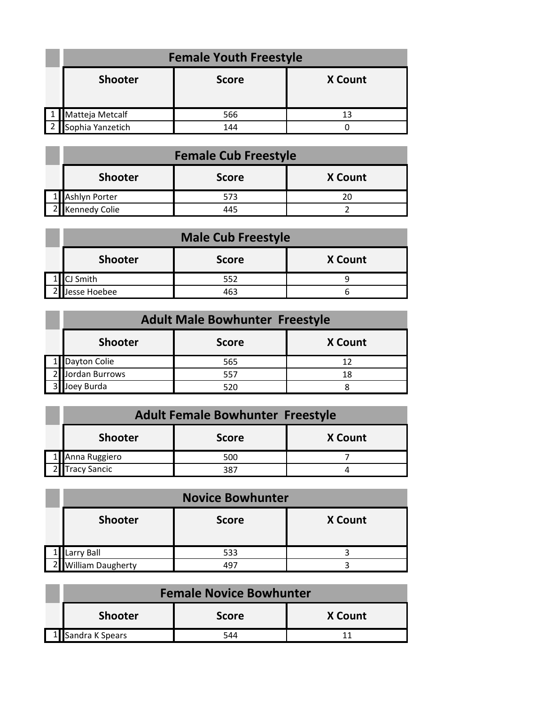| <b>Female Youth Freestyle</b> |              |                |
|-------------------------------|--------------|----------------|
| <b>Shooter</b>                | <b>Score</b> | <b>X Count</b> |
|                               |              |                |
| 1   Matteja Metcalf           | 566          | 13             |
| Sophia Yanzetich              | 144          |                |

| <b>Female Cub Freestyle</b> |              |                |
|-----------------------------|--------------|----------------|
| <b>Shooter</b>              | <b>Score</b> | <b>X</b> Count |
| 1 Ashlyn Porter             | 573          |                |
| 2 Kennedy Colie             | 445          |                |

| <b>Male Cub Freestyle</b> |              |                |
|---------------------------|--------------|----------------|
| <b>Shooter</b>            | <b>Score</b> | <b>X</b> Count |
| CJ Smith                  | 552          |                |
| Jesse Hoebee              | 463          |                |

| <b>Adult Male Bowhunter Freestyle</b> |              |                |
|---------------------------------------|--------------|----------------|
| <b>Shooter</b>                        | <b>Score</b> | <b>X</b> Count |
| Dayton Colie                          | 565          |                |
| Jordan Burrows                        | 557          | 18             |
| Joey Burda                            | 520          |                |

| <b>Adult Female Bowhunter Freestyle</b> |              |                |
|-----------------------------------------|--------------|----------------|
| <b>Shooter</b>                          | <b>Score</b> | <b>X</b> Count |
| 1 Anna Ruggiero                         | 500          |                |
| 2 Tracy Sancic                          | 387          |                |

| <b>Novice Bowhunter</b>  |              |                |
|--------------------------|--------------|----------------|
| <b>Shooter</b>           | <b>Score</b> | <b>X</b> Count |
| arry Ball                | 533          |                |
| <b>William Daugherty</b> | 497          |                |

| <b>Female Novice Bowhunter</b>                   |     |  |  |
|--------------------------------------------------|-----|--|--|
| <b>Shooter</b><br><b>X Count</b><br><b>Score</b> |     |  |  |
| 1 Sandra K Spears                                | 544 |  |  |